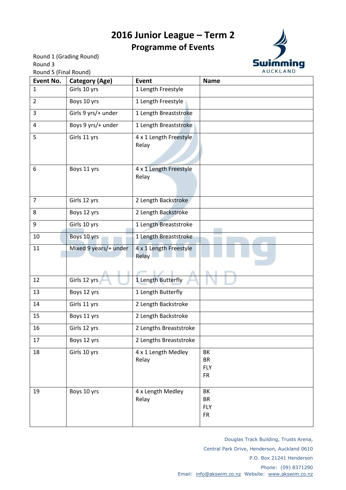## **2016 Junior League – Term 2 Programme of Events**

Round 1 (Grading Round) Round 3 Round 5 (Final Round)



| NUUTIU J (TIHAL NUUTIU)<br>Event No. | <b>Category (Age)</b> | Event                           | <b>Name</b>                                 |
|--------------------------------------|-----------------------|---------------------------------|---------------------------------------------|
| $\mathbf{1}$                         | Girls 10 yrs          | 1 Length Freestyle              |                                             |
| $\overline{2}$                       | Boys 10 yrs           | 1 Length Freestyle              |                                             |
| 3                                    | Girls 9 yrs/+ under   | 1 Length Breaststroke           |                                             |
| 4                                    | Boys 9 yrs/+ under    | 1 Length Breaststroke           |                                             |
| 5                                    | Girls 11 yrs          | 4 x 1 Length Freestyle<br>Relay |                                             |
| 6                                    | Boys 11 yrs           | 4 x 1 Length Freestyle<br>Relay |                                             |
| $\overline{7}$                       | Girls 12 yrs          | 2 Length Backstroke             |                                             |
| 8                                    | Boys 12 yrs           | 2 Length Backstroke             |                                             |
| 9                                    | Girls 10 yrs          | 1 Length Breaststroke           |                                             |
| 10                                   | Boys 10 yrs           | 1 Length Breaststroke           |                                             |
| 11                                   | Mixed 9 years/+ under | 4 x 1 Length Freestyle<br>Relay |                                             |
| 12                                   | Girls 12 yrs          | 1 Length Butterfly              |                                             |
| 13                                   | Boys 12 yrs           | 1 Length Butterfly              |                                             |
| 14                                   | Girls 11 yrs          | 2 Length Backstroke             |                                             |
| 15                                   | Boys 11 yrs           | 2 Length Backstroke             |                                             |
| 16                                   | Girls 12 yrs          | 2 Lengths Breaststroke          |                                             |
| 17                                   | Boys 12 yrs           | 2 Lengths Breaststroke          |                                             |
| 18                                   | Girls 10 yrs          | 4 x 1 Length Medley<br>Relay    | BK<br><b>BR</b><br><b>FLY</b><br><b>FR</b>  |
| 19                                   | Boys 10 yrs           | 4 x Length Medley<br>Relay      | BK<br><b>BR</b><br><b>FLY</b><br>${\sf FR}$ |

Douglas Track Building, Trusts Arena, Central Park Drive, Henderson, Auckland 0610 P.O. Box 21241 Henderson Phone: (09) 8371290 Email: [info@akswim.co.nz](mailto:info@akswim.co.nz) Website: [www.akswim.co.nz](http://www.akswim.co.nz/)